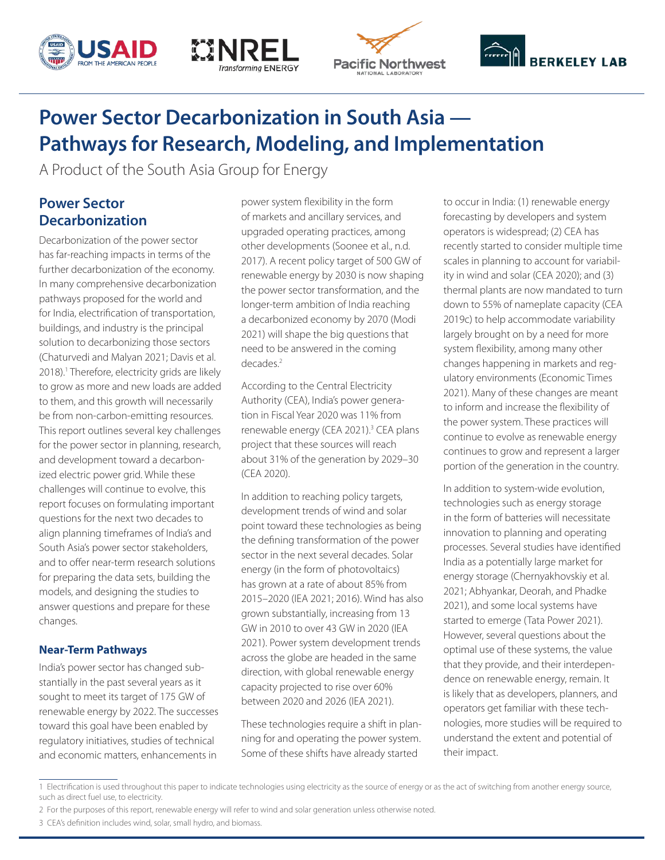







# **Power Sector Decarbonization in South Asia — Pathways for Research, Modeling, and Implementation**

A Product of the South Asia Group for Energy

# **Power Sector Decarbonization**

Decarbonization of the power sector has far-reaching impacts in terms of the further decarbonization of the economy. In many comprehensive decarbonization pathways proposed for the world and for India, electrification of transportation, buildings, and industry is the principal solution to decarbonizing those sectors (Chaturvedi and Malyan 2021; Davis et al. 2018).<sup>1</sup> Therefore, electricity grids are likely to grow as more and new loads are added to them, and this growth will necessarily be from non-carbon-emitting resources. This report outlines several key challenges for the power sector in planning, research, and development toward a decarbonized electric power grid. While these challenges will continue to evolve, this report focuses on formulating important questions for the next two decades to align planning timeframes of India's and South Asia's power sector stakeholders, and to offer near-term research solutions for preparing the data sets, building the models, and designing the studies to answer questions and prepare for these changes.

# **Near-Term Pathways**

India's power sector has changed substantially in the past several years as it sought to meet its target of 175 GW of renewable energy by 2022. The successes toward this goal have been enabled by regulatory initiatives, studies of technical and economic matters, enhancements in

power system flexibility in the form of markets and ancillary services, and upgraded operating practices, among other developments (Soonee et al., n.d. 2017). A recent policy target of 500 GW of renewable energy by 2030 is now shaping the power sector transformation, and the longer-term ambition of India reaching a decarbonized economy by 2070 (Modi 2021) will shape the big questions that need to be answered in the coming decades.2

According to the Central Electricity Authority (CEA), India's power generation in Fiscal Year 2020 was 11% from renewable energy (CEA 2021).<sup>3</sup> CEA plans project that these sources will reach about 31% of the generation by 2029–30 (CEA 2020).

In addition to reaching policy targets, development trends of wind and solar point toward these technologies as being the defining transformation of the power sector in the next several decades. Solar energy (in the form of photovoltaics) has grown at a rate of about 85% from 2015–2020 (IEA 2021; 2016). Wind has also grown substantially, increasing from 13 GW in 2010 to over 43 GW in 2020 (IEA 2021). Power system development trends across the globe are headed in the same direction, with global renewable energy capacity projected to rise over 60% between 2020 and 2026 (IEA 2021).

These technologies require a shift in planning for and operating the power system. Some of these shifts have already started

to occur in India: (1) renewable energy forecasting by developers and system operators is widespread; (2) CEA has recently started to consider multiple time scales in planning to account for variability in wind and solar (CEA 2020); and (3) thermal plants are now mandated to turn down to 55% of nameplate capacity (CEA 2019c) to help accommodate variability largely brought on by a need for more system flexibility, among many other changes happening in markets and regulatory environments (Economic Times 2021). Many of these changes are meant to inform and increase the flexibility of the power system. These practices will continue to evolve as renewable energy continues to grow and represent a larger portion of the generation in the country.

In addition to system-wide evolution, technologies such as energy storage in the form of batteries will necessitate innovation to planning and operating processes. Several studies have identified India as a potentially large market for energy storage (Chernyakhovskiy et al. 2021; Abhyankar, Deorah, and Phadke 2021), and some local systems have started to emerge (Tata Power 2021). However, several questions about the optimal use of these systems, the value that they provide, and their interdependence on renewable energy, remain. It is likely that as developers, planners, and operators get familiar with these technologies, more studies will be required to understand the extent and potential of their impact.

<sup>1</sup> Electrification is used throughout this paper to indicate technologies using electricity as the source of energy or as the act of switching from another energy source, such as direct fuel use, to electricity.

<sup>2</sup> For the purposes of this report, renewable energy will refer to wind and solar generation unless otherwise noted.

<sup>3</sup> CEA's definition includes wind, solar, small hydro, and biomass.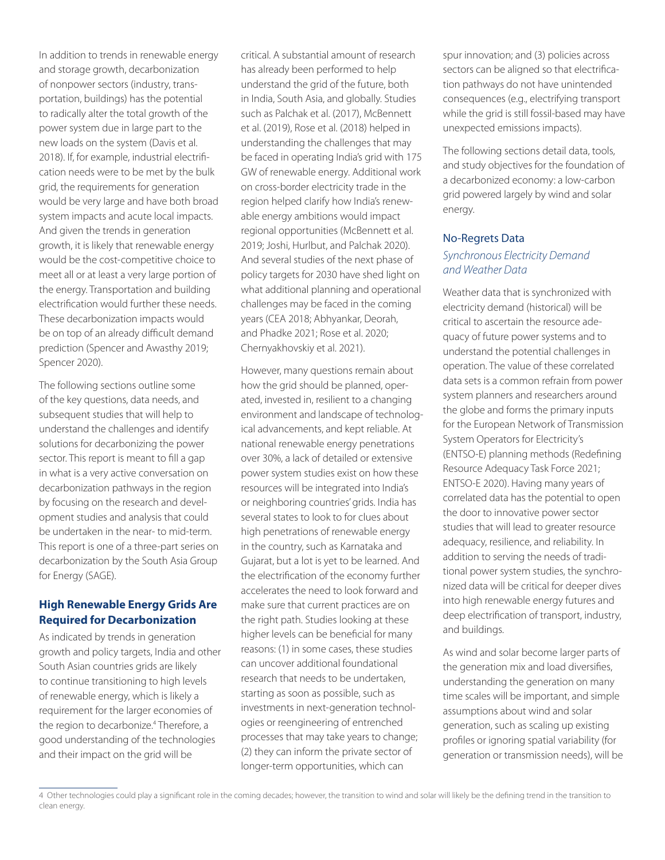In addition to trends in renewable energy and storage growth, decarbonization of nonpower sectors (industry, transportation, buildings) has the potential to radically alter the total growth of the power system due in large part to the new loads on the system (Davis et al. 2018). If, for example, industrial electrification needs were to be met by the bulk grid, the requirements for generation would be very large and have both broad system impacts and acute local impacts. And given the trends in generation growth, it is likely that renewable energy would be the cost-competitive choice to meet all or at least a very large portion of the energy. Transportation and building electrification would further these needs. These decarbonization impacts would be on top of an already difficult demand prediction (Spencer and Awasthy 2019; Spencer 2020).

The following sections outline some of the key questions, data needs, and subsequent studies that will help to understand the challenges and identify solutions for decarbonizing the power sector. This report is meant to fill a gap in what is a very active conversation on decarbonization pathways in the region by focusing on the research and development studies and analysis that could be undertaken in the near- to mid-term. This report is one of a three-part series on decarbonization by the South Asia Group for Energy (SAGE).

# **High Renewable Energy Grids Are Required for Decarbonization**

As indicated by trends in generation growth and policy targets, India and other South Asian countries grids are likely to continue transitioning to high levels of renewable energy, which is likely a requirement for the larger economies of the region to decarbonize.<sup>4</sup> Therefore, a good understanding of the technologies and their impact on the grid will be

critical. A substantial amount of research has already been performed to help understand the grid of the future, both in India, South Asia, and globally. Studies such as Palchak et al. (2017), McBennett et al. (2019), Rose et al. (2018) helped in understanding the challenges that may be faced in operating India's grid with 175 GW of renewable energy. Additional work on cross-border electricity trade in the region helped clarify how India's renewable energy ambitions would impact regional opportunities (McBennett et al. 2019; Joshi, Hurlbut, and Palchak 2020). And several studies of the next phase of policy targets for 2030 have shed light on what additional planning and operational challenges may be faced in the coming years (CEA 2018; Abhyankar, Deorah, and Phadke 2021; Rose et al. 2020; Chernyakhovskiy et al. 2021).

However, many questions remain about how the grid should be planned, operated, invested in, resilient to a changing environment and landscape of technological advancements, and kept reliable. At national renewable energy penetrations over 30%, a lack of detailed or extensive power system studies exist on how these resources will be integrated into India's or neighboring countries' grids. India has several states to look to for clues about high penetrations of renewable energy in the country, such as Karnataka and Gujarat, but a lot is yet to be learned. And the electrification of the economy further accelerates the need to look forward and make sure that current practices are on the right path. Studies looking at these higher levels can be beneficial for many reasons: (1) in some cases, these studies can uncover additional foundational research that needs to be undertaken, starting as soon as possible, such as investments in next-generation technologies or reengineering of entrenched processes that may take years to change; (2) they can inform the private sector of longer-term opportunities, which can

spur innovation; and (3) policies across sectors can be aligned so that electrification pathways do not have unintended consequences (e.g., electrifying transport while the grid is still fossil-based may have unexpected emissions impacts).

The following sections detail data, tools, and study objectives for the foundation of a decarbonized economy: a low-carbon grid powered largely by wind and solar energy.

## No-Regrets Data

# *Synchronous Electricity Demand and Weather Data*

Weather data that is synchronized with electricity demand (historical) will be critical to ascertain the resource adequacy of future power systems and to understand the potential challenges in operation. The value of these correlated data sets is a common refrain from power system planners and researchers around the globe and forms the primary inputs for the European Network of Transmission System Operators for Electricity's (ENTSO-E) planning methods (Redefining Resource Adequacy Task Force 2021; ENTSO-E 2020). Having many years of correlated data has the potential to open the door to innovative power sector studies that will lead to greater resource adequacy, resilience, and reliability. In addition to serving the needs of traditional power system studies, the synchronized data will be critical for deeper dives into high renewable energy futures and deep electrification of transport, industry, and buildings.

As wind and solar become larger parts of the generation mix and load diversifies, understanding the generation on many time scales will be important, and simple assumptions about wind and solar generation, such as scaling up existing profiles or ignoring spatial variability (for generation or transmission needs), will be

<sup>4</sup> Other technologies could play a significant role in the coming decades; however, the transition to wind and solar will likely be the defining trend in the transition to clean energy.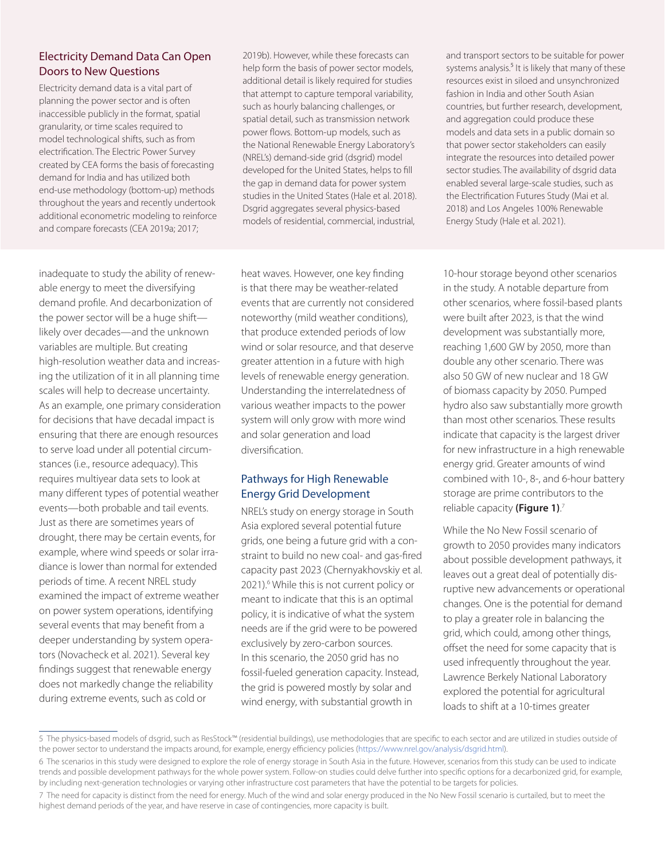# Electricity Demand Data Can Open Doors to New Questions

Electricity demand data is a vital part of planning the power sector and is often inaccessible publicly in the format, spatial granularity, or time scales required to model technological shifts, such as from electrification. The Electric Power Survey created by CEA forms the basis of forecasting demand for India and has utilized both end-use methodology (bottom-up) methods throughout the years and recently undertook additional econometric modeling to reinforce and compare forecasts (CEA 2019a; 2017;

2019b). However, while these forecasts can help form the basis of power sector models, additional detail is likely required for studies that attempt to capture temporal variability, such as hourly balancing challenges, or spatial detail, such as transmission network power flows. Bottom-up models, such as the National Renewable Energy Laboratory's (NREL's) demand-side grid (dsgrid) model developed for the United States, helps to fill the gap in demand data for power system studies in the United States (Hale et al. 2018). Dsgrid aggregates several physics-based models of residential, commercial, industrial,

inadequate to study the ability of renewable energy to meet the diversifying demand profile. And decarbonization of the power sector will be a huge shift likely over decades—and the unknown variables are multiple. But creating high-resolution weather data and increasing the utilization of it in all planning time scales will help to decrease uncertainty. As an example, one primary consideration for decisions that have decadal impact is ensuring that there are enough resources to serve load under all potential circumstances (i.e., resource adequacy). This requires multiyear data sets to look at many different types of potential weather events—both probable and tail events. Just as there are sometimes years of drought, there may be certain events, for example, where wind speeds or solar irradiance is lower than normal for extended periods of time. A recent NREL study examined the impact of extreme weather on power system operations, identifying several events that may benefit from a deeper understanding by system operators (Novacheck et al. 2021). Several key findings suggest that renewable energy does not markedly change the reliability during extreme events, such as cold or

heat waves. However, one key finding is that there may be weather-related events that are currently not considered noteworthy (mild weather conditions), that produce extended periods of low wind or solar resource, and that deserve greater attention in a future with high levels of renewable energy generation. Understanding the interrelatedness of various weather impacts to the power system will only grow with more wind and solar generation and load diversification. 5

# Pathways for High Renewable Energy Grid Development

NREL's study on energy storage in South Asia explored several potential future grids, one being a future grid with a constraint to build no new coal- and gas-fired capacity past 2023 (Chernyakhovskiy et al. 2021).<sup>6</sup> While this is not current policy or meant to indicate that this is an optimal policy, it is indicative of what the system needs are if the grid were to be powered exclusively by zero-carbon sources. In this scenario, the 2050 grid has no fossil-fueled generation capacity. Instead, the grid is powered mostly by solar and wind energy, with substantial growth in

and transport sectors to be suitable for power systems analysis.<sup>5</sup> It is likely that many of these resources exist in siloed and unsynchronized fashion in India and other South Asian countries, but further research, development, and aggregation could produce these models and data sets in a public domain so that power sector stakeholders can easily integrate the resources into detailed power sector studies. The availability of dsgrid data enabled several large-scale studies, such as the Electrification Futures Study (Mai et al. 2018) and Los Angeles 100% Renewable Energy Study (Hale et al. 2021).

10-hour storage beyond other scenarios in the study. A notable departure from other scenarios, where fossil-based plants were built after 2023, is that the wind development was substantially more, reaching 1,600 GW by 2050, more than double any other scenario. There was also 50 GW of new nuclear and 18 GW of biomass capacity by 2050. Pumped hydro also saw substantially more growth than most other scenarios. These results indicate that capacity is the largest driver for new infrastructure in a high renewable energy grid. Greater amounts of wind combined with 10-, 8-, and 6-hour battery storage are prime contributors to the reliable capacity **(Figure 1)**. 7

While the No New Fossil scenario of growth to 2050 provides many indicators about possible development pathways, it leaves out a great deal of potentially disruptive new advancements or operational changes. One is the potential for demand to play a greater role in balancing the grid, which could, among other things, offset the need for some capacity that is used infrequently throughout the year. Lawrence Berkely National Laboratory explored the potential for agricultural loads to shift at a 10-times greater

<sup>5</sup> The physics-based models of dsgrid, such as ResStock™ (residential buildings), use methodologies that are specific to each sector and are utilized in studies outside of the power sector to understand the impacts around, for example, energy efficiency policies (<https://www.nrel.gov/analysis/dsgrid.html>).

<sup>6</sup> The scenarios in this study were designed to explore the role of energy storage in South Asia in the future. However, scenarios from this study can be used to indicate trends and possible development pathways for the whole power system. Follow-on studies could delve further into specific options for a decarbonized grid, for example, by including next-generation technologies or varying other infrastructure cost parameters that have the potential to be targets for policies.

<sup>7</sup> The need for capacity is distinct from the need for energy. Much of the wind and solar energy produced in the No New Fossil scenario is curtailed, but to meet the highest demand periods of the year, and have reserve in case of contingencies, more capacity is built.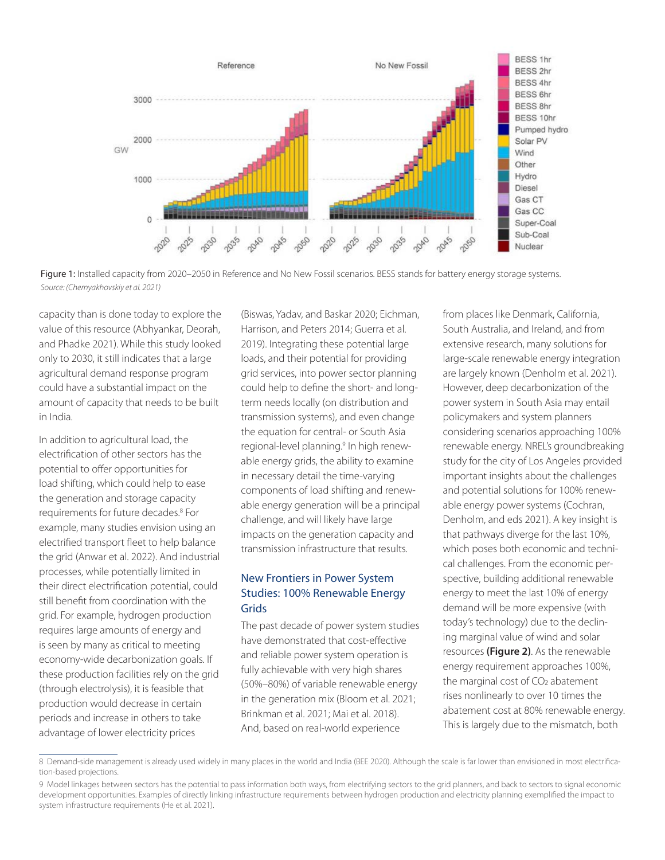

Figure 1: Installed capacity from 2020–2050 in Reference and No New Fossil scenarios. BESS stands for battery energy storage systems. *Source: (Chernyakhovskiy et al. 2021)*

capacity than is done today to explore the value of this resource (Abhyankar, Deorah, and Phadke 2021). While this study looked only to 2030, it still indicates that a large agricultural demand response program could have a substantial impact on the amount of capacity that needs to be built in India.

In addition to agricultural load, the electrification of other sectors has the potential to offer opportunities for load shifting, which could help to ease the generation and storage capacity requirements for future decades.8 For example, many studies envision using an electrified transport fleet to help balance the grid (Anwar et al. 2022). And industrial processes, while potentially limited in their direct electrification potential, could still benefit from coordination with the grid. For example, hydrogen production requires large amounts of energy and is seen by many as critical to meeting economy-wide decarbonization goals. If these production facilities rely on the grid (through electrolysis), it is feasible that production would decrease in certain periods and increase in others to take advantage of lower electricity prices

(Biswas, Yadav, and Baskar 2020; Eichman, Harrison, and Peters 2014; Guerra et al. 2019). Integrating these potential large loads, and their potential for providing grid services, into power sector planning could help to define the short- and longterm needs locally (on distribution and transmission systems), and even change the equation for central- or South Asia regional-level planning.<sup>9</sup> In high renewable energy grids, the ability to examine in necessary detail the time-varying components of load shifting and renewable energy generation will be a principal challenge, and will likely have large impacts on the generation capacity and transmission infrastructure that results.

# New Frontiers in Power System Studies: 100% Renewable Energy Grids

The past decade of power system studies have demonstrated that cost-effective and reliable power system operation is fully achievable with very high shares (50%–80%) of variable renewable energy in the generation mix (Bloom et al. 2021; Brinkman et al. 2021; Mai et al. 2018). And, based on real-world experience

from places like Denmark, California, South Australia, and Ireland, and from extensive research, many solutions for large-scale renewable energy integration are largely known (Denholm et al. 2021). However, deep decarbonization of the power system in South Asia may entail policymakers and system planners considering scenarios approaching 100% renewable energy. NREL's groundbreaking study for the city of Los Angeles provided important insights about the challenges and potential solutions for 100% renewable energy power systems (Cochran, Denholm, and eds 2021). A key insight is that pathways diverge for the last 10%, which poses both economic and technical challenges. From the economic perspective, building additional renewable energy to meet the last 10% of energy demand will be more expensive (with today's technology) due to the declining marginal value of wind and solar resources **(Figure 2)**. As the renewable energy requirement approaches 100%, the marginal cost of CO<sub>2</sub> abatement rises nonlinearly to over 10 times the abatement cost at 80% renewable energy. This is largely due to the mismatch, both

<sup>8</sup> Demand-side management is already used widely in many places in the world and India (BEE 2020). Although the scale is far lower than envisioned in most electrification-based projections.

<sup>9</sup> Model linkages between sectors has the potential to pass information both ways, from electrifying sectors to the grid planners, and back to sectors to signal economic development opportunities. Examples of directly linking infrastructure requirements between hydrogen production and electricity planning exemplified the impact to system infrastructure requirements (He et al. 2021).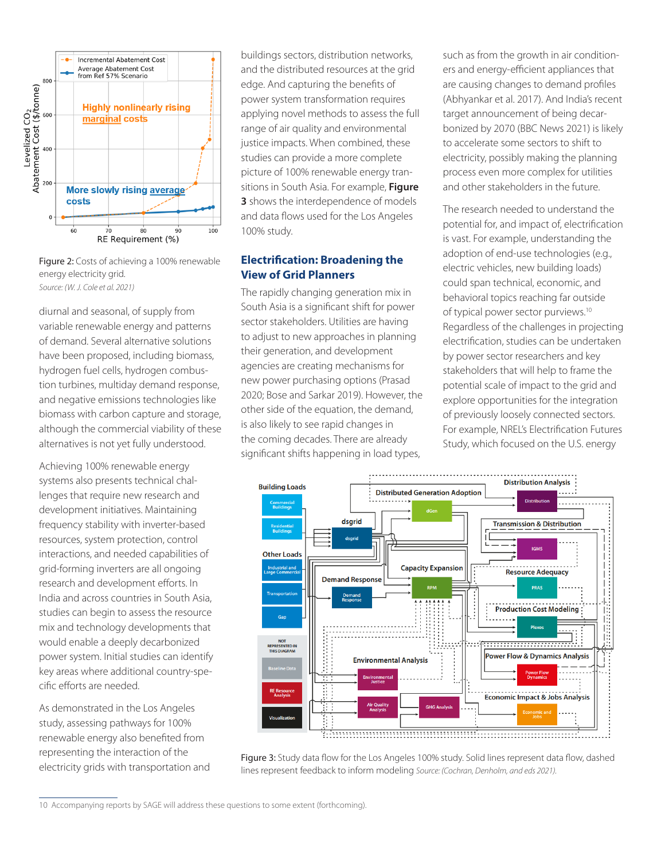

Figure 2: Costs of achieving a 100% renewable energy electricity grid. *Source: (W. J. Cole et al. 2021)*

diurnal and seasonal, of supply from variable renewable energy and patterns of demand. Several alternative solutions have been proposed, including biomass, hydrogen fuel cells, hydrogen combustion turbines, multiday demand response, and negative emissions technologies like biomass with carbon capture and storage, although the commercial viability of these alternatives is not yet fully understood.

Achieving 100% renewable energy systems also presents technical challenges that require new research and development initiatives. Maintaining frequency stability with inverter-based resources, system protection, control interactions, and needed capabilities of grid-forming inverters are all ongoing research and development efforts. In India and across countries in South Asia, studies can begin to assess the resource mix and technology developments that would enable a deeply decarbonized power system. Initial studies can identify key areas where additional country-specific efforts are needed.

As demonstrated in the Los Angeles study, assessing pathways for 100% renewable energy also benefited from representing the interaction of the electricity grids with transportation and

buildings sectors, distribution networks, and the distributed resources at the grid edge. And capturing the benefits of power system transformation requires applying novel methods to assess the full range of air quality and environmental justice impacts. When combined, these studies can provide a more complete picture of 100% renewable energy transitions in South Asia. For example, **Figure 3** shows the interdependence of models and data flows used for the Los Angeles 100% study.

# **Electrification: Broadening the View of Grid Planners**

The rapidly changing generation mix in South Asia is a significant shift for power sector stakeholders. Utilities are having to adjust to new approaches in planning their generation, and development agencies are creating mechanisms for new power purchasing options (Prasad 2020; Bose and Sarkar 2019). However, the other side of the equation, the demand, is also likely to see rapid changes in the coming decades. There are already significant shifts happening in load types,

such as from the growth in air conditioners and energy-efficient appliances that are causing changes to demand profiles (Abhyankar et al. 2017). And India's recent target announcement of being decarbonized by 2070 (BBC News 2021) is likely to accelerate some sectors to shift to electricity, possibly making the planning process even more complex for utilities and other stakeholders in the future.

The research needed to understand the potential for, and impact of, electrification is vast. For example, understanding the adoption of end-use technologies (e.g., electric vehicles, new building loads) could span technical, economic, and behavioral topics reaching far outside of typical power sector purviews.<sup>10</sup> Regardless of the challenges in projecting electrification, studies can be undertaken by power sector researchers and key stakeholders that will help to frame the potential scale of impact to the grid and explore opportunities for the integration of previously loosely connected sectors. For example, NREL's Electrification Futures Study, which focused on the U.S. energy



Figure 3: Study data flow for the Los Angeles 100% study. Solid lines represent data flow, dashed lines represent feedback to inform modeling *Source: (Cochran, Denholm, and eds 2021).*

<sup>10</sup> Accompanying reports by SAGE will address these questions to some extent (forthcoming).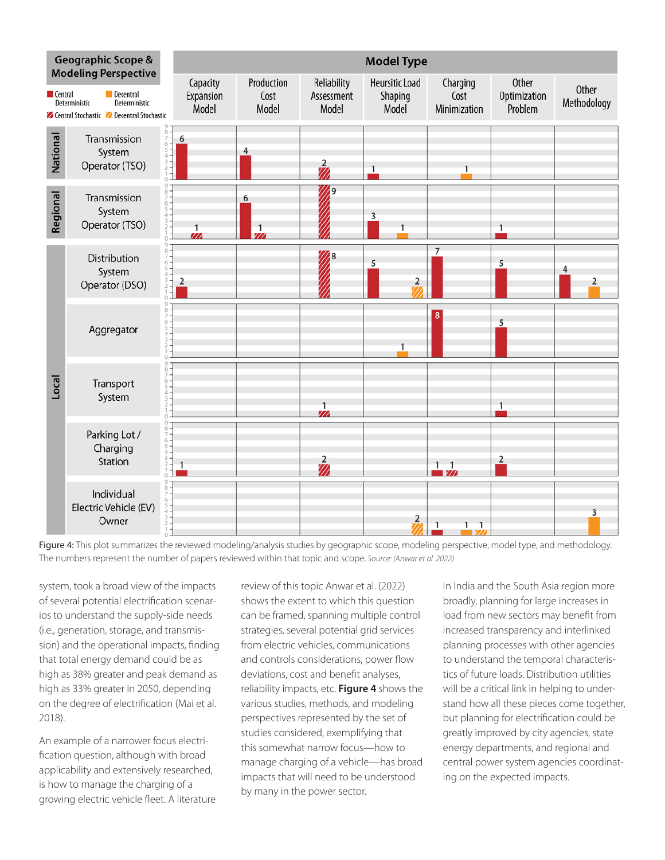

Figure 4: This plot summarizes the reviewed modeling/analysis studies by geographic scope, modeling perspective, model type, and methodology. The numbers represent the number of papers reviewed within that topic and scope. *Source: (Anwar et al. 2022)*

system, took a broad view of the impacts of several potential electrification scenarios to understand the supply-side needs (i.e., generation, storage, and transmission) and the operational impacts, finding that total energy demand could be as high as 38% greater and peak demand as high as 33% greater in 2050, depending on the degree of electrification (Mai et al. 2018).

An example of a narrower focus electrification question, although with broad applicability and extensively researched, is how to manage the charging of a growing electric vehicle fleet. A literature

review of this topic Anwar et al. (2022) shows the extent to which this question can be framed, spanning multiple control strategies, several potential grid services from electric vehicles, communications and controls considerations, power flow deviations, cost and benefit analyses, reliability impacts, etc. **Figure 4** shows the various studies, methods, and modeling perspectives represented by the set of studies considered, exemplifying that this somewhat narrow focus—how to manage charging of a vehicle—has broad impacts that will need to be understood by many in the power sector.

In India and the South Asia region more broadly, planning for large increases in load from new sectors may benefit from increased transparency and interlinked planning processes with other agencies to understand the temporal characteristics of future loads. Distribution utilities will be a critical link in helping to understand how all these pieces come together, but planning for electrification could be greatly improved by city agencies, state energy departments, and regional and central power system agencies coordinating on the expected impacts.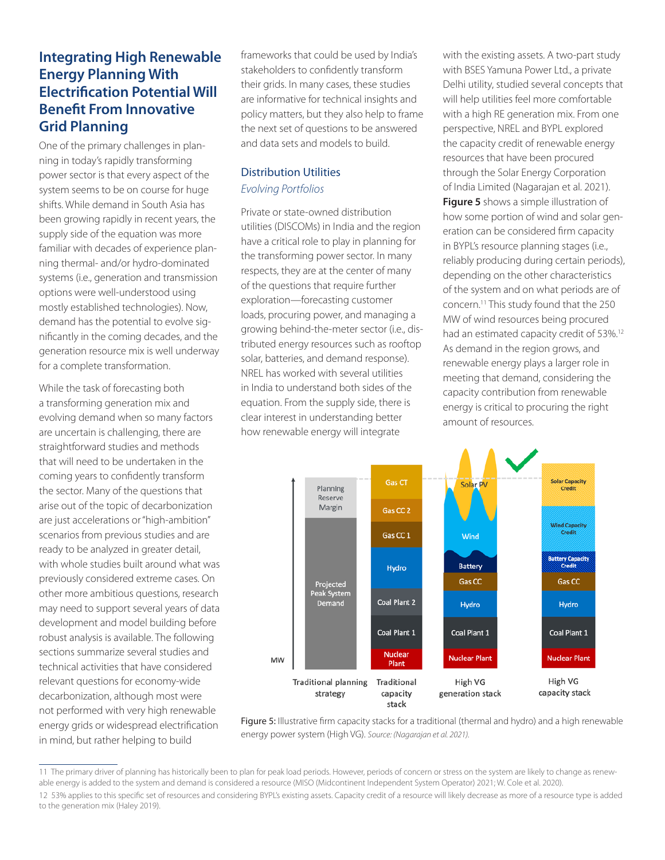# **Integrating High Renewable Energy Planning With Electrification Potential Will Benefit From Innovative Grid Planning**

One of the primary challenges in planning in today's rapidly transforming power sector is that every aspect of the system seems to be on course for huge shifts. While demand in South Asia has been growing rapidly in recent years, the supply side of the equation was more familiar with decades of experience planning thermal- and/or hydro-dominated systems (i.e., generation and transmission options were well-understood using mostly established technologies). Now, demand has the potential to evolve significantly in the coming decades, and the generation resource mix is well underway for a complete transformation.

While the task of forecasting both a transforming generation mix and evolving demand when so many factors are uncertain is challenging, there are straightforward studies and methods that will need to be undertaken in the coming years to confidently transform the sector. Many of the questions that arise out of the topic of decarbonization are just accelerations or "high-ambition" scenarios from previous studies and are ready to be analyzed in greater detail, with whole studies built around what was previously considered extreme cases. On other more ambitious questions, research may need to support several years of data development and model building before robust analysis is available. The following sections summarize several studies and technical activities that have considered relevant questions for economy-wide decarbonization, although most were not performed with very high renewable energy grids or widespread electrification in mind, but rather helping to build

frameworks that could be used by India's stakeholders to confidently transform their grids. In many cases, these studies are informative for technical insights and policy matters, but they also help to frame the next set of questions to be answered and data sets and models to build.

# Distribution Utilities *Evolving Portfolios*

Private or state-owned distribution utilities (DISCOMs) in India and the region have a critical role to play in planning for the transforming power sector. In many respects, they are at the center of many of the questions that require further exploration—forecasting customer loads, procuring power, and managing a growing behind-the-meter sector (i.e., distributed energy resources such as rooftop solar, batteries, and demand response). NREL has worked with several utilities in India to understand both sides of the equation. From the supply side, there is clear interest in understanding better how renewable energy will integrate

with the existing assets. A two-part study with BSES Yamuna Power Ltd., a private Delhi utility, studied several concepts that will help utilities feel more comfortable with a high RE generation mix. From one perspective, NREL and BYPL explored the capacity credit of renewable energy resources that have been procured through the Solar Energy Corporation of India Limited (Nagarajan et al. 2021). **Figure 5** shows a simple illustration of how some portion of wind and solar generation can be considered firm capacity in BYPL's resource planning stages (i.e., reliably producing during certain periods), depending on the other characteristics of the system and on what periods are of concern.11 This study found that the 250 MW of wind resources being procured had an estimated capacity credit of 53%.<sup>12</sup> As demand in the region grows, and renewable energy plays a larger role in meeting that demand, considering the capacity contribution from renewable energy is critical to procuring the right amount of resources.



Figure 5: Illustrative firm capacity stacks for a traditional (thermal and hydro) and a high renewable energy power system (High VG). *Source: (Nagarajan et al. 2021).*

<sup>11</sup> The primary driver of planning has historically been to plan for peak load periods. However, periods of concern or stress on the system are likely to change as renewable energy is added to the system and demand is considered a resource (MISO (Midcontinent Independent System Operator) 2021; W. Cole et al. 2020).

<sup>12 53%</sup> applies to this specific set of resources and considering BYPL's existing assets. Capacity credit of a resource will likely decrease as more of a resource type is added to the generation mix (Haley 2019).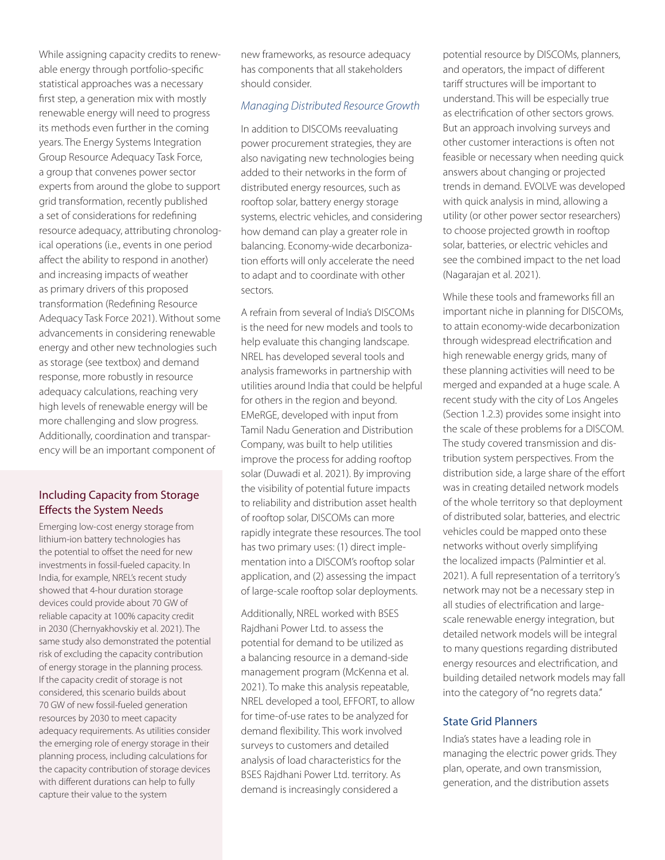While assigning capacity credits to renewable energy through portfolio-specific statistical approaches was a necessary first step, a generation mix with mostly renewable energy will need to progress its methods even further in the coming years. The Energy Systems Integration Group Resource Adequacy Task Force, a group that convenes power sector experts from around the globe to support grid transformation, recently published a set of considerations for redefining resource adequacy, attributing chronological operations (i.e., events in one period affect the ability to respond in another) and increasing impacts of weather as primary drivers of this proposed transformation (Redefining Resource Adequacy Task Force 2021). Without some advancements in considering renewable energy and other new technologies such as storage (see textbox) and demand response, more robustly in resource adequacy calculations, reaching very high levels of renewable energy will be more challenging and slow progress. Additionally, coordination and transparency will be an important component of

# Including Capacity from Storage Effects the System Needs

Emerging low-cost energy storage from lithium-ion battery technologies has the potential to offset the need for new investments in fossil-fueled capacity. In India, for example, NREL's recent study showed that 4-hour duration storage devices could provide about 70 GW of reliable capacity at 100% capacity credit in 2030 (Chernyakhovskiy et al. 2021). The same study also demonstrated the potential risk of excluding the capacity contribution of energy storage in the planning process. If the capacity credit of storage is not considered, this scenario builds about 70 GW of new fossil-fueled generation resources by 2030 to meet capacity adequacy requirements. As utilities consider the emerging role of energy storage in their planning process, including calculations for the capacity contribution of storage devices with different durations can help to fully capture their value to the system

new frameworks, as resource adequacy has components that all stakeholders should consider.

## *Managing Distributed Resource Growth*

In addition to DISCOMs reevaluating power procurement strategies, they are also navigating new technologies being added to their networks in the form of distributed energy resources, such as rooftop solar, battery energy storage systems, electric vehicles, and considering how demand can play a greater role in balancing. Economy-wide decarbonization efforts will only accelerate the need to adapt and to coordinate with other sectors.

A refrain from several of India's DISCOMs is the need for new models and tools to help evaluate this changing landscape. NREL has developed several tools and analysis frameworks in partnership with utilities around India that could be helpful for others in the region and beyond. EMeRGE, developed with input from Tamil Nadu Generation and Distribution Company, was built to help utilities improve the process for adding rooftop solar (Duwadi et al. 2021). By improving the visibility of potential future impacts to reliability and distribution asset health of rooftop solar, DISCOMs can more rapidly integrate these resources. The tool has two primary uses: (1) direct implementation into a DISCOM's rooftop solar application, and (2) assessing the impact of large-scale rooftop solar deployments.

Additionally, NREL worked with BSES Rajdhani Power Ltd. to assess the potential for demand to be utilized as a balancing resource in a demand-side management program (McKenna et al. 2021). To make this analysis repeatable, NREL developed a tool, EFFORT, to allow for time-of-use rates to be analyzed for demand flexibility. This work involved surveys to customers and detailed analysis of load characteristics for the BSES Rajdhani Power Ltd. territory. As demand is increasingly considered a

potential resource by DISCOMs, planners, and operators, the impact of different tariff structures will be important to understand. This will be especially true as electrification of other sectors grows. But an approach involving surveys and other customer interactions is often not feasible or necessary when needing quick answers about changing or projected trends in demand. EVOLVE was developed with quick analysis in mind, allowing a utility (or other power sector researchers) to choose projected growth in rooftop solar, batteries, or electric vehicles and see the combined impact to the net load (Nagarajan et al. 2021).

While these tools and frameworks fill an important niche in planning for DISCOMs, to attain economy-wide decarbonization through widespread electrification and high renewable energy grids, many of these planning activities will need to be merged and expanded at a huge scale. A recent study with the city of Los Angeles (Section 1.2.3) provides some insight into the scale of these problems for a DISCOM. The study covered transmission and distribution system perspectives. From the distribution side, a large share of the effort was in creating detailed network models of the whole territory so that deployment of distributed solar, batteries, and electric vehicles could be mapped onto these networks without overly simplifying the localized impacts (Palmintier et al. 2021). A full representation of a territory's network may not be a necessary step in all studies of electrification and largescale renewable energy integration, but detailed network models will be integral to many questions regarding distributed energy resources and electrification, and building detailed network models may fall into the category of "no regrets data."

## State Grid Planners

India's states have a leading role in managing the electric power grids. They plan, operate, and own transmission, generation, and the distribution assets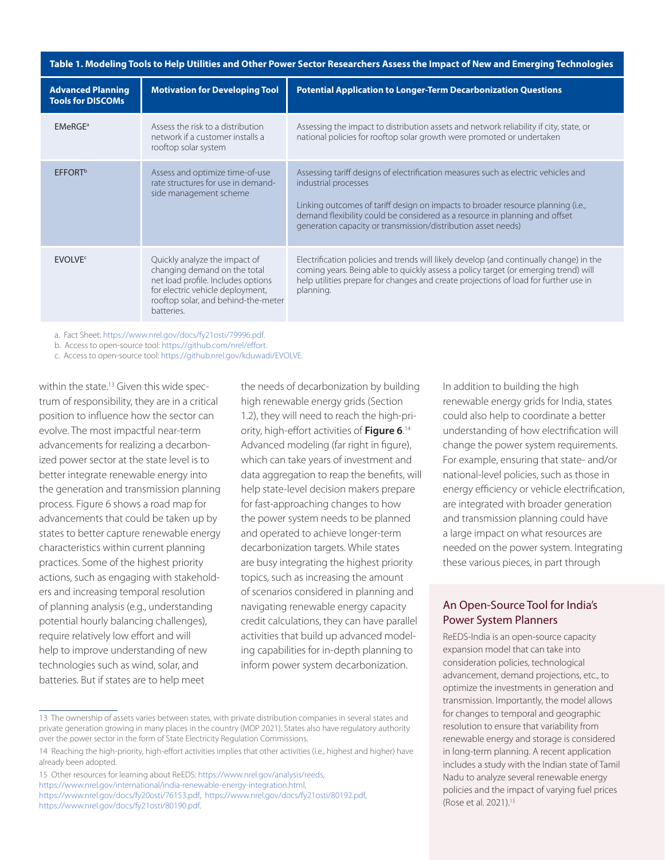| Table 1. Modeling Tools to Help Utilities and Other Power Sector Researchers Assess the Impact of New and Emerging Technologies |                                                                                                                                                                                              |                                                                                                                                                                                                                                                                                                                                                |
|---------------------------------------------------------------------------------------------------------------------------------|----------------------------------------------------------------------------------------------------------------------------------------------------------------------------------------------|------------------------------------------------------------------------------------------------------------------------------------------------------------------------------------------------------------------------------------------------------------------------------------------------------------------------------------------------|
| <b>Advanced Planning</b><br><b>Tools for DISCOMs</b>                                                                            | <b>Motivation for Developing Tool</b>                                                                                                                                                        | <b>Potential Application to Longer-Term Decarbonization Questions</b>                                                                                                                                                                                                                                                                          |
| EMeRGE <sup>a</sup>                                                                                                             | Assess the risk to a distribution<br>network if a customer installs a<br>rooftop solar system                                                                                                | Assessing the impact to distribution assets and network reliability if city, state, or<br>national policies for rooftop solar growth were promoted or undertaken                                                                                                                                                                               |
| <b>EFFORT</b> <sup>b</sup>                                                                                                      | Assess and optimize time-of-use<br>rate structures for use in demand-<br>side management scheme                                                                                              | Assessing tariff designs of electrification measures such as electric vehicles and<br>industrial processes<br>Linking outcomes of tariff design on impacts to broader resource planning (i.e.,<br>demand flexibility could be considered as a resource in planning and offset<br>generation capacity or transmission/distribution asset needs) |
| <b>FVOLVES</b>                                                                                                                  | Quickly analyze the impact of<br>changing demand on the total<br>net load profile. Includes options<br>for electric vehicle deployment,<br>rooftop solar, and behind-the-meter<br>batteries. | Electrification policies and trends will likely develop (and continually change) in the<br>coming years. Being able to quickly assess a policy target (or emerging trend) will<br>help utilities prepare for changes and create projections of load for further use in<br>planning.                                                            |

a. Fact Sheet: [https://www.nrel.gov/docs/fy21osti/79996.pdf.](https://www.nrel.gov/docs/fy21osti/79996.pdf)

b. Access to open-source tool: [https://github.com/nrel/effort.](https://github.com/nrel/effort)

c. Access to open-source tool: [https://github.nrel.gov/kduwadi/EVOLVE.](https://github.nrel.gov/kduwadi/EVOLVE)

within the state.<sup>13</sup> Given this wide spectrum of responsibility, they are in a critical position to influence how the sector can evolve. The most impactful near-term advancements for realizing a decarbonized power sector at the state level is to better integrate renewable energy into the generation and transmission planning process. Figure 6 shows a road map for advancements that could be taken up by states to better capture renewable energy characteristics within current planning practices. Some of the highest priority actions, such as engaging with stakeholders and increasing temporal resolution of planning analysis (e.g., understanding potential hourly balancing challenges), require relatively low effort and will help to improve understanding of new technologies such as wind, solar, and batteries. But if states are to help meet

the needs of decarbonization by building high renewable energy grids (Section 1.2), they will need to reach the high-priority, high-effort activities of **Figure 6**.<sup>14</sup> Advanced modeling (far right in figure), which can take years of investment and data aggregation to reap the benefits, will help state-level decision makers prepare for fast-approaching changes to how the power system needs to be planned and operated to achieve longer-term decarbonization targets. While states are busy integrating the highest priority topics, such as increasing the amount of scenarios considered in planning and navigating renewable energy capacity credit calculations, they can have parallel activities that build up advanced modeling capabilities for in-depth planning to inform power system decarbonization.

13 The ownership of assets varies between states, with private distribution companies in several states and private generation growing in many places in the country (MOP 2021). States also have regulatory authority over the power sector in the form of State Electricity Regulation Commissions.

In addition to building the high renewable energy grids for India, states could also help to coordinate a better understanding of how electrification will change the power system requirements. For example, ensuring that state- and/or national-level policies, such as those in energy efficiency or vehicle electrification, are integrated with broader generation and transmission planning could have a large impact on what resources are needed on the power system. Integrating these various pieces, in part through

# An Open-Source Tool for India's Power System Planners

ReEDS-India is an open-source capacity expansion model that can take into consideration policies, technological advancement, demand projections, etc., to optimize the investments in generation and transmission. Importantly, the model allows for changes to temporal and geographic resolution to ensure that variability from renewable energy and storage is considered in long-term planning. A recent application includes a study with the Indian state of Tamil Nadu to analyze several renewable energy policies and the impact of varying fuel prices (Rose et al. 2021).15

<sup>14</sup> Reaching the high-priority, high-effort activities implies that other activities (i.e., highest and higher) have already been adopted.

<sup>15</sup> Other resources for learning about ReEDS: [https://www.nrel.gov/analysis/reeds,](https://www.nrel.gov/analysis/reeds/) [https://www.nrel.gov/international/india-renewable-energy-integration.html,](https://www.nrel.gov/international/india-renewable-energy-integration.html) [https://www.nrel.gov/docs/fy20osti/76153.pdf,](https://www.nrel.gov/docs/fy20osti/76153.pdf) <https://www.nrel.gov/docs/fy21osti/80192.pdf>, [https://www.nrel.gov/docs/fy21osti/80190.pdf.](https://www.nrel.gov/docs/fy21osti/80190.pdf)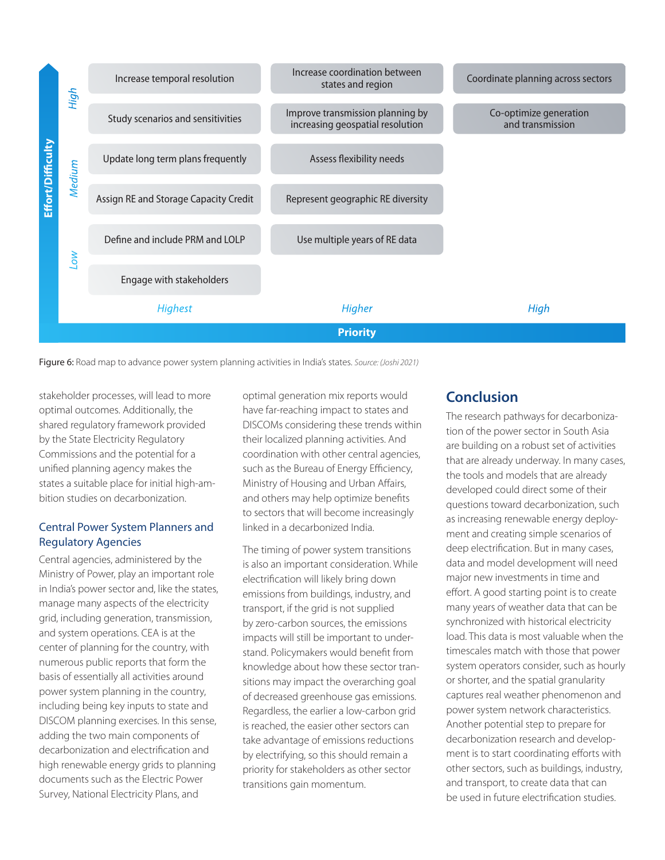

Figure 6: Road map to advance power system planning activities in India's states. *Source: (Joshi 2021)*

stakeholder processes, will lead to more optimal outcomes. Additionally, the shared regulatory framework provided by the State Electricity Regulatory Commissions and the potential for a unified planning agency makes the states a suitable place for initial high-ambition studies on decarbonization.

# Central Power System Planners and Regulatory Agencies

Central agencies, administered by the Ministry of Power, play an important role in India's power sector and, like the states, manage many aspects of the electricity grid, including generation, transmission, and system operations. CEA is at the center of planning for the country, with numerous public reports that form the basis of essentially all activities around power system planning in the country, including being key inputs to state and DISCOM planning exercises. In this sense, adding the two main components of decarbonization and electrification and high renewable energy grids to planning documents such as the Electric Power Survey, National Electricity Plans, and

optimal generation mix reports would have far-reaching impact to states and DISCOMs considering these trends within their localized planning activities. And coordination with other central agencies, such as the Bureau of Energy Efficiency, Ministry of Housing and Urban Affairs, and others may help optimize benefits to sectors that will become increasingly linked in a decarbonized India.

The timing of power system transitions is also an important consideration. While electrification will likely bring down emissions from buildings, industry, and transport, if the grid is not supplied by zero-carbon sources, the emissions impacts will still be important to understand. Policymakers would benefit from knowledge about how these sector transitions may impact the overarching goal of decreased greenhouse gas emissions. Regardless, the earlier a low-carbon grid is reached, the easier other sectors can take advantage of emissions reductions by electrifying, so this should remain a priority for stakeholders as other sector transitions gain momentum.

# **Conclusion**

The research pathways for decarbonization of the power sector in South Asia are building on a robust set of activities that are already underway. In many cases, the tools and models that are already developed could direct some of their questions toward decarbonization, such as increasing renewable energy deployment and creating simple scenarios of deep electrification. But in many cases, data and model development will need major new investments in time and effort. A good starting point is to create many years of weather data that can be synchronized with historical electricity load. This data is most valuable when the timescales match with those that power system operators consider, such as hourly or shorter, and the spatial granularity captures real weather phenomenon and power system network characteristics. Another potential step to prepare for decarbonization research and development is to start coordinating efforts with other sectors, such as buildings, industry, and transport, to create data that can be used in future electrification studies.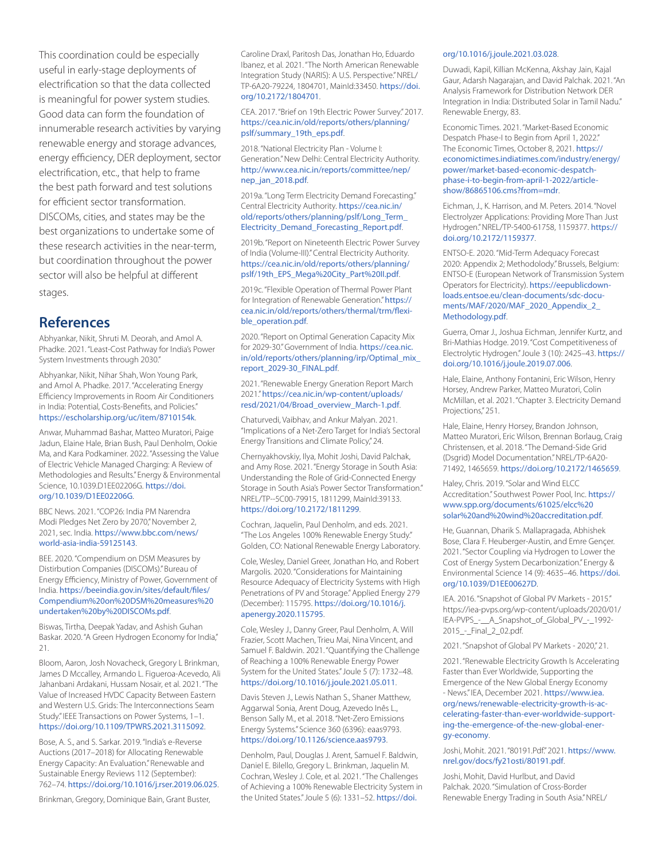This coordination could be especially useful in early-stage deployments of electrification so that the data collected is meaningful for power system studies. Good data can form the foundation of innumerable research activities by varying renewable energy and storage advances, energy efficiency, DER deployment, sector electrification, etc., that help to frame the best path forward and test solutions for efficient sector transformation. DISCOMs, cities, and states may be the best organizations to undertake some of these research activities in the near-term, but coordination throughout the power sector will also be helpful at different

stages.

# **References**

Abhyankar, Nikit, Shruti M. Deorah, and Amol A. Phadke. 2021. "Least-Cost Pathway for India's Power System Investments through 2030."

Abhyankar, Nikit, Nihar Shah, Won Young Park, and Amol A. Phadke. 2017. "Accelerating Energy Efficiency Improvements in Room Air Conditioners in India: Potential, Costs-Benefits, and Policies." <https://escholarship.org/uc/item/8710154k>.

Anwar, Muhammad Bashar, Matteo Muratori, Paige Jadun, Elaine Hale, Brian Bush, Paul Denholm, Ookie Ma, and Kara Podkaminer. 2022. "Assessing the Value of Electric Vehicle Managed Charging: A Review of Methodologies and Results." Energy & Environmental Science, 10.1039.D1EE02206G. [https://doi.](https://doi.org/10.1039/D1EE02206G) [org/10.1039/D1EE02206G](https://doi.org/10.1039/D1EE02206G).

BBC News. 2021. "COP26: India PM Narendra Modi Pledges Net Zero by 2070," November 2, 2021, sec. India. [https://www.bbc.com/news/](https://www.bbc.com/news/world-asia-india-59125143) [world-asia-india-59125143](https://www.bbc.com/news/world-asia-india-59125143).

BEE. 2020. "Compendium on DSM Measures by Distirbution Companies (DISCOMs)." Bureau of Energy Efficiency, Ministry of Power, Government of India. [https://beeindia.gov.in/sites/default/files/](https://beeindia.gov.in/sites/default/files/Compendium%20on%20DSM%20measures%20undertaken%20by%20DISCOMs.pdf) [Compendium%20on%20DSM%20measures%20](https://beeindia.gov.in/sites/default/files/Compendium%20on%20DSM%20measures%20undertaken%20by%20DISCOMs.pdf) [undertaken%20by%20DISCOMs.pdf](https://beeindia.gov.in/sites/default/files/Compendium%20on%20DSM%20measures%20undertaken%20by%20DISCOMs.pdf).

Biswas, Tirtha, Deepak Yadav, and Ashish Guhan Baskar. 2020. "A Green Hydrogen Economy for India," 21.

Bloom, Aaron, Josh Novacheck, Gregory L Brinkman, James D Mccalley, Armando L. Figueroa-Acevedo, Ali Jahanbani Ardakani, Hussam Nosair, et al. 2021. "The Value of Increased HVDC Capacity Between Eastern and Western U.S. Grids: The Interconnections Seam Study." IEEE Transactions on Power Systems, 1–1. <https://doi.org/10.1109/TPWRS.2021.3115092>.

Bose, A. S., and S. Sarkar. 2019. "India's e-Reverse Auctions (2017–2018) for Allocating Renewable Energy Capacity: An Evaluation." Renewable and Sustainable Energy Reviews 112 (September): 762–74. <https://doi.org/10.1016/j.rser.2019.06.025>.

Brinkman, Gregory, Dominique Bain, Grant Buster,

Caroline Draxl, Paritosh Das, Jonathan Ho, Eduardo Ibanez, et al. 2021. "The North American Renewable Integration Study (NARIS): A U.S. Perspective." NREL/ TP-6A20-79224, 1804701, MainId:33450. [https://doi.](https://doi.org/10.2172/1804701) [org/10.2172/1804701](https://doi.org/10.2172/1804701).

CEA. 2017. "Brief on 19th Electric Power Survey." 2017. [https://cea.nic.in/old/reports/others/planning/](https://cea.nic.in/old/reports/others/planning/pslf/summary_19th_eps.pdf) [pslf/summary\\_19th\\_eps.pdf](https://cea.nic.in/old/reports/others/planning/pslf/summary_19th_eps.pdf).

2018. "National Electricity Plan - Volume I: Generation." New Delhi: Central Electricity Authority. [http://www.cea.nic.in/reports/committee/nep/](http://www.cea.nic.in/reports/committee/nep/nep_jan_2018.pdf) [nep\\_jan\\_2018.pdf](http://www.cea.nic.in/reports/committee/nep/nep_jan_2018.pdf).

2019a. "Long Term Electricity Demand Forecasting." Central Electricity Authority. [https://cea.nic.in/](https://cea.nic.in/old/reports/others/planning/pslf/Long_Term_Electricity_Demand_Forecasting_Report.) [old/reports/others/planning/pslf/Long\\_Term\\_](https://cea.nic.in/old/reports/others/planning/pslf/Long_Term_Electricity_Demand_Forecasting_Report.) [Electricity\\_Demand\\_Forecasting\\_Report.pdf](https://cea.nic.in/old/reports/others/planning/pslf/Long_Term_Electricity_Demand_Forecasting_Report.).

2019b. "Report on Nineteenth Electric Power Survey of India (Volume-III)." Central Electricity Authority. [https://cea.nic.in/old/reports/others/planning/](https://cea.nic.in/old/reports/others/planning/pslf/19th_EPS_Mega%20City_Part%20II.pdf) [pslf/19th\\_EPS\\_Mega%20City\\_Part%20II.pdf](https://cea.nic.in/old/reports/others/planning/pslf/19th_EPS_Mega%20City_Part%20II.pdf).

2019c. "Flexible Operation of Thermal Power Plant for Integration of Renewable Generation." [https://](https://cea.nic.in/old/reports/others/thermal/trm/flexible_operation.pdf) [cea.nic.in/old/reports/others/thermal/trm/flexi](https://cea.nic.in/old/reports/others/thermal/trm/flexible_operation.pdf)[ble\\_operation.pdf](https://cea.nic.in/old/reports/others/thermal/trm/flexible_operation.pdf).

2020. "Report on Optimal Generation Capacity Mix for 2029-30." Government of India. [https://cea.nic.](https://cea.nic.in/old/reports/others/planning/irp/Optimal_mix_report_2029-30_FINAL.pdf) [in/old/reports/others/planning/irp/Optimal\\_mix\\_](https://cea.nic.in/old/reports/others/planning/irp/Optimal_mix_report_2029-30_FINAL.pdf) [report\\_2029-30\\_FINAL.pdf](https://cea.nic.in/old/reports/others/planning/irp/Optimal_mix_report_2029-30_FINAL.pdf).

2021. "Renewable Energy Gneration Report March 2021." [https://cea.nic.in/wp-content/uploads/](https://cea.nic.in/wp-content/uploads/resd/2021/04/Broad_overview_March-1.pdf) [resd/2021/04/Broad\\_overview\\_March-1.pdf](https://cea.nic.in/wp-content/uploads/resd/2021/04/Broad_overview_March-1.pdf).

Chaturvedi, Vaibhav, and Ankur Malyan. 2021. "Implications of a Net-Zero Target for India's Sectoral Energy Transitions and Climate Policy," 24.

Chernyakhovskiy, Ilya, Mohit Joshi, David Palchak, and Amy Rose. 2021. "Energy Storage in South Asia: Understanding the Role of Grid-Connected Energy Storage in South Asia's Power Sector Transformation." NREL/TP--5C00-79915, 1811299, MainId:39133. <https://doi.org/10.2172/1811299>.

Cochran, Jaquelin, Paul Denholm, and eds. 2021. "The Los Angeles 100% Renewable Energy Study." Golden, CO: National Renewable Energy Laboratory.

Cole, Wesley, Daniel Greer, Jonathan Ho, and Robert Margolis. 2020. "Considerations for Maintaining Resource Adequacy of Electricity Systems with High Penetrations of PV and Storage." Applied Energy 279 (December): 115795. [https://doi.org/10.1016/j.](https://doi.org/10.1016/j.apenergy.2020.115795) [apenergy.2020.115795](https://doi.org/10.1016/j.apenergy.2020.115795).

Cole, Wesley J., Danny Greer, Paul Denholm, A. Will Frazier, Scott Machen, Trieu Mai, Nina Vincent, and Samuel F. Baldwin. 2021. "Quantifying the Challenge of Reaching a 100% Renewable Energy Power System for the United States." Joule 5 (7): 1732–48. <https://doi.org/10.1016/j.joule.2021.05.011>.

Davis Steven J., Lewis Nathan S., Shaner Matthew, Aggarwal Sonia, Arent Doug, Azevedo Inês L., Benson Sally M., et al. 2018. "Net-Zero Emissions Energy Systems." Science 360 (6396): eaas9793. <https://doi.org/10.1126/science.aas9793>.

Denholm, Paul, Douglas J. Arent, Samuel F. Baldwin, Daniel E. Bilello, Gregory L. Brinkman, Jaquelin M. Cochran, Wesley J. Cole, et al. 2021. "The Challenges of Achieving a 100% Renewable Electricity System in the United States." Joule 5 (6): 1331-52. [https://doi.](https://doi.org/10.1016/j.joule.2021.03.028)

#### [org/10.1016/j.joule.2021.03.028](https://doi.org/10.1016/j.joule.2021.03.028).

Duwadi, Kapil, Killian McKenna, Akshay Jain, Kajal Gaur, Adarsh Nagarajan, and David Palchak. 2021. "An Analysis Framework for Distribution Network DER Integration in India: Distributed Solar in Tamil Nadu." Renewable Energy, 83.

Economic Times. 2021. "Market-Based Economic Despatch Phase-I to Begin from April 1, 2022." The Economic Times, October 8, 2021. [https://](https://economictimes.indiatimes.com/industry/energy/power/market-based-economic-despatch-phase-i-to-begin-from-april-1-2022/articleshow/86865106.cms?from=mdr) [economictimes.indiatimes.com/industry/energy/](https://economictimes.indiatimes.com/industry/energy/power/market-based-economic-despatch-phase-i-to-begin-from-april-1-2022/articleshow/86865106.cms?from=mdr) [power/market-based-economic-despatch](https://economictimes.indiatimes.com/industry/energy/power/market-based-economic-despatch-phase-i-to-begin-from-april-1-2022/articleshow/86865106.cms?from=mdr)[phase-i-to-begin-from-april-1-2022/article](https://economictimes.indiatimes.com/industry/energy/power/market-based-economic-despatch-phase-i-to-begin-from-april-1-2022/articleshow/86865106.cms?from=mdr)[show/86865106.cms?from=mdr](https://economictimes.indiatimes.com/industry/energy/power/market-based-economic-despatch-phase-i-to-begin-from-april-1-2022/articleshow/86865106.cms?from=mdr).

Eichman, J., K. Harrison, and M. Peters. 2014. "Novel Electrolyzer Applications: Providing More Than Just Hydrogen." NREL/TP-5400-61758, 1159377. [https://](https://doi.org/10.2172/1159377) [doi.org/10.2172/1159377](https://doi.org/10.2172/1159377).

ENTSO-E. 2020. "Mid-Term Adequacy Forecast 2020: Appendix 2; Methodolody." Brussels, Belgium: ENTSO-E (European Network of Transmission System Operators for Electricity). [https://eepublicdown](https://eepublicdownloads.entsoe.eu/clean-documents/sdc-documents/MAF/2020/MAF_2020_Appendix_2_Methodology.pdf)[loads.entsoe.eu/clean-documents/sdc-docu](https://eepublicdownloads.entsoe.eu/clean-documents/sdc-documents/MAF/2020/MAF_2020_Appendix_2_Methodology.pdf)[ments/MAF/2020/MAF\\_2020\\_Appendix\\_2\\_](https://eepublicdownloads.entsoe.eu/clean-documents/sdc-documents/MAF/2020/MAF_2020_Appendix_2_Methodology.pdf) [Methodology.pdf](https://eepublicdownloads.entsoe.eu/clean-documents/sdc-documents/MAF/2020/MAF_2020_Appendix_2_Methodology.pdf).

Guerra, Omar J., Joshua Eichman, Jennifer Kurtz, and Bri-Mathias Hodge. 2019. "Cost Competitiveness of Electrolytic Hydrogen." Joule 3 (10): 2425–43. [https://](https://doi.org/10.1016/j.joule.2019.07.006) [doi.org/10.1016/j.joule.2019.07.006](https://doi.org/10.1016/j.joule.2019.07.006).

Hale, Elaine, Anthony Fontanini, Eric Wilson, Henry Horsey, Andrew Parker, Matteo Muratori, Colin McMillan, et al. 2021. "Chapter 3. Electricity Demand Projections," 251.

Hale, Elaine, Henry Horsey, Brandon Johnson, Matteo Muratori, Eric Wilson, Brennan Borlaug, Craig Christensen, et al. 2018. "The Demand-Side Grid (Dsgrid) Model Documentation." NREL/TP-6A20- 71492, 1465659. <https://doi.org/10.2172/1465659>.

Haley, Chris. 2019. "Solar and Wind ELCC Accreditation." Southwest Power Pool, Inc. [https://](https://www.spp.org/documents/61025/elcc%20solar%20and%20wind%20accreditation.pdf) [www.spp.org/documents/61025/elcc%20](https://www.spp.org/documents/61025/elcc%20solar%20and%20wind%20accreditation.pdf) [solar%20and%20wind%20accreditation.pdf](https://www.spp.org/documents/61025/elcc%20solar%20and%20wind%20accreditation.pdf).

He, Guannan, Dharik S. Mallapragada, Abhishek Bose, Clara F. Heuberger-Austin, and Emre Gençer. 2021. "Sector Coupling via Hydrogen to Lower the Cost of Energy System Decarbonization." Energy & Environmental Science 14 (9): 4635–46. [https://doi.](https://doi.org/10.1039/D1EE00627D) [org/10.1039/D1EE00627D](https://doi.org/10.1039/D1EE00627D).

IEA. 2016. "Snapshot of Global PV Markets - 2015." https://iea-pvps.org/wp-content/uploads/2020/01/ IEA-PVPS\_-\_\_A\_Snapshot\_of\_Global\_PV\_-\_1992- 2015\_-\_Final\_2\_02.pdf.

2021. "Snapshot of Global PV Markets - 2020," 21.

2021. "Renewable Electricity Growth Is Accelerating Faster than Ever Worldwide, Supporting the Emergence of the New Global Energy Economy - News." IEA, December 2021. [https://www.iea.](https://www.iea.org/news/renewable-electricity-growth-is-accelerating-faster-than-ever-worldwide-supporting-the-emergence-of-the-new-global-energy-economy) [org/news/renewable-electricity-growth-is-ac](https://www.iea.org/news/renewable-electricity-growth-is-accelerating-faster-than-ever-worldwide-supporting-the-emergence-of-the-new-global-energy-economy)[celerating-faster-than-ever-worldwide-support](https://www.iea.org/news/renewable-electricity-growth-is-accelerating-faster-than-ever-worldwide-supporting-the-emergence-of-the-new-global-energy-economy)[ing-the-emergence-of-the-new-global-ener](https://www.iea.org/news/renewable-electricity-growth-is-accelerating-faster-than-ever-worldwide-supporting-the-emergence-of-the-new-global-energy-economy)[gy-economy](https://www.iea.org/news/renewable-electricity-growth-is-accelerating-faster-than-ever-worldwide-supporting-the-emergence-of-the-new-global-energy-economy).

Joshi, Mohit. 2021. "80191.Pdf." 2021. [https://www.](https://www.nrel.gov/docs/fy21osti/80191.pdf) [nrel.gov/docs/fy21osti/80191.pdf](https://www.nrel.gov/docs/fy21osti/80191.pdf).

Joshi, Mohit, David Hurlbut, and David Palchak. 2020. "Simulation of Cross-Border Renewable Energy Trading in South Asia." NREL/